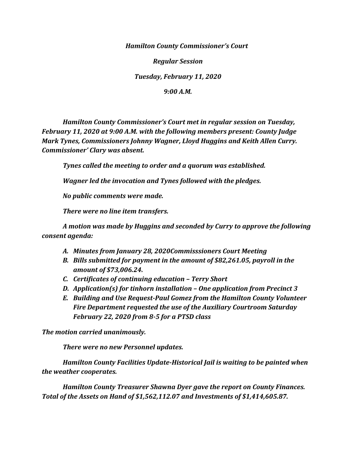*Hamilton County Commissioner's Court*

*Regular Session*

*Tuesday, February 11, 2020*

*9:00 A.M.*

*Hamilton County Commissioner's Court met in regular session on Tuesday, February 11, 2020 at 9:00 A.M. with the following members present: County Judge Mark Tynes, Commissioners Johnny Wagner, Lloyd Huggins and Keith Allen Curry. Commissioner' Clary was absent.*

*Tynes called the meeting to order and a quorum was established.*

*Wagner led the invocation and Tynes followed with the pledges.*

*No public comments were made.*

*There were no line item transfers.*

*A motion was made by Huggins and seconded by Curry to approve the following consent agenda:*

- *A. Minutes from January 28, 2020Commisssioners Court Meeting*
- *B. Bills submitted for payment in the amount of \$82,261.05, payroll in the amount of \$73,006.24.*
- *C. Certificates of continuing education – Terry Short*
- *D. Application(s) for tinhorn installation – One application from Precinct 3*
- *E. Building and Use Request-Paul Gomez from the Hamilton County Volunteer Fire Department requested the use of the Auxiliary Courtroom Saturday February 22, 2020 from 8-5 for a PTSD class*

*The motion carried unanimously.*

*There were no new Personnel updates.*

*Hamilton County Facilities Update-Historical Jail is waiting to be painted when the weather cooperates.*

*Hamilton County Treasurer Shawna Dyer gave the report on County Finances. Total of the Assets on Hand of \$1,562,112.07 and Investments of \$1,414,605.87.*